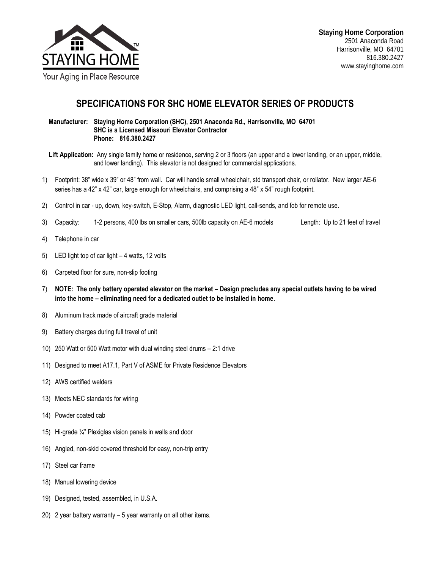

## **SPECIFICATIONS FOR SHC HOME ELEVATOR SERIES OF PRODUCTS**

 **Manufacturer: Staying Home Corporation (SHC), 2501 Anaconda Rd., Harrisonville, MO 64701 SHC is a Licensed Missouri Elevator Contractor Phone: 816.380.2427**

 **Lift Application:** Any single family home or residence, serving 2 or 3 floors (an upper and a lower landing, or an upper, middle, and lower landing). This elevator is not designed for commercial applications.

- 1) Footprint: 38" wide x 39" or 48" from wall. Car will handle small wheelchair, std transport chair, or rollator. New larger AE-6 series has a 42" x 42" car, large enough for wheelchairs, and comprising a 48" x 54" rough footprint.
- 2) Control in car up, down, key-switch, E-Stop, Alarm, diagnostic LED light, call-sends, and fob for remote use.
- 3) Capacity: 1-2 persons, 400 lbs on smaller cars, 500lb capacity on AE-6 models Length: Up to 21 feet of travel
- 4) Telephone in car
- 5) LED light top of car light 4 watts, 12 volts
- 6) Carpeted floor for sure, non-slip footing
- 7) **NOTE: The only battery operated elevator on the market – Design precludes any special outlets having to be wired into the home – eliminating need for a dedicated outlet to be installed in home**.
- 8) Aluminum track made of aircraft grade material
- 9) Battery charges during full travel of unit
- 10) 250 Watt or 500 Watt motor with dual winding steel drums 2:1 drive
- 11) Designed to meet A17.1, Part V of ASME for Private Residence Elevators
- 12) AWS certified welders
- 13) Meets NEC standards for wiring
- 14) Powder coated cab
- 15) Hi-grade ¼" Plexiglas vision panels in walls and door
- 16) Angled, non-skid covered threshold for easy, non-trip entry
- 17) Steel car frame
- 18) Manual lowering device
- 19) Designed, tested, assembled, in U.S.A.
- 20) 2 year battery warranty 5 year warranty on all other items.